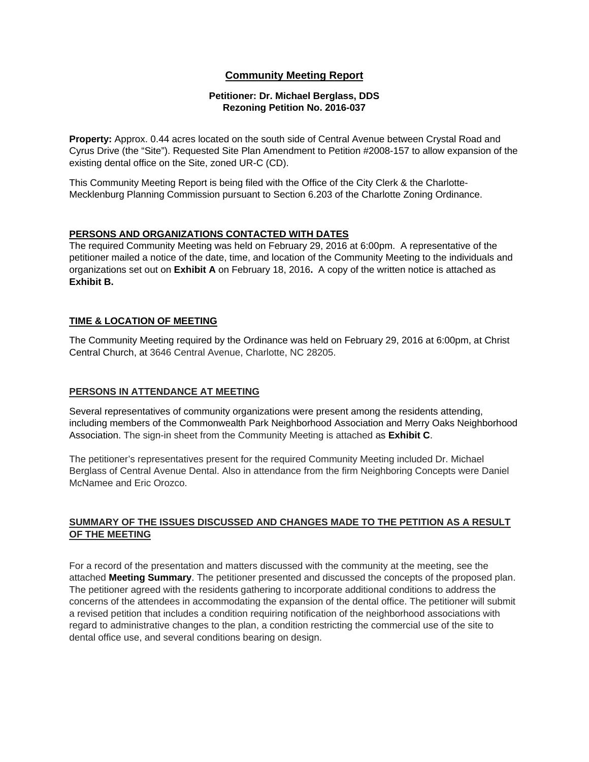## **Community Meeting Report**

#### **Petitioner: Dr. Michael Berglass, DDS Rezoning Petition No. 2016-037**

**Property:** Approx. 0.44 acres located on the south side of Central Avenue between Crystal Road and Cyrus Drive (the "Site"). Requested Site Plan Amendment to Petition #2008-157 to allow expansion of the existing dental office on the Site, zoned UR-C (CD).

This Community Meeting Report is being filed with the Office of the City Clerk & the Charlotte-Mecklenburg Planning Commission pursuant to Section 6.203 of the Charlotte Zoning Ordinance.

## **PERSONS AND ORGANIZATIONS CONTACTED WITH DATES**

The required Community Meeting was held on February 29, 2016 at 6:00pm. A representative of the petitioner mailed a notice of the date, time, and location of the Community Meeting to the individuals and organizations set out on **Exhibit A** on February 18, 2016**.** A copy of the written notice is attached as **Exhibit B.** 

## **TIME & LOCATION OF MEETING**

The Community Meeting required by the Ordinance was held on February 29, 2016 at 6:00pm, at Christ Central Church, at 3646 Central Avenue, Charlotte, NC 28205.

## **PERSONS IN ATTENDANCE AT MEETING**

Several representatives of community organizations were present among the residents attending, including members of the Commonwealth Park Neighborhood Association and Merry Oaks Neighborhood Association. The sign-in sheet from the Community Meeting is attached as **Exhibit C**.

The petitioner's representatives present for the required Community Meeting included Dr. Michael Berglass of Central Avenue Dental. Also in attendance from the firm Neighboring Concepts were Daniel McNamee and Eric Orozco.

## **SUMMARY OF THE ISSUES DISCUSSED AND CHANGES MADE TO THE PETITION AS A RESULT OF THE MEETING**

For a record of the presentation and matters discussed with the community at the meeting, see the attached **Meeting Summary**. The petitioner presented and discussed the concepts of the proposed plan. The petitioner agreed with the residents gathering to incorporate additional conditions to address the concerns of the attendees in accommodating the expansion of the dental office. The petitioner will submit a revised petition that includes a condition requiring notification of the neighborhood associations with regard to administrative changes to the plan, a condition restricting the commercial use of the site to dental office use, and several conditions bearing on design.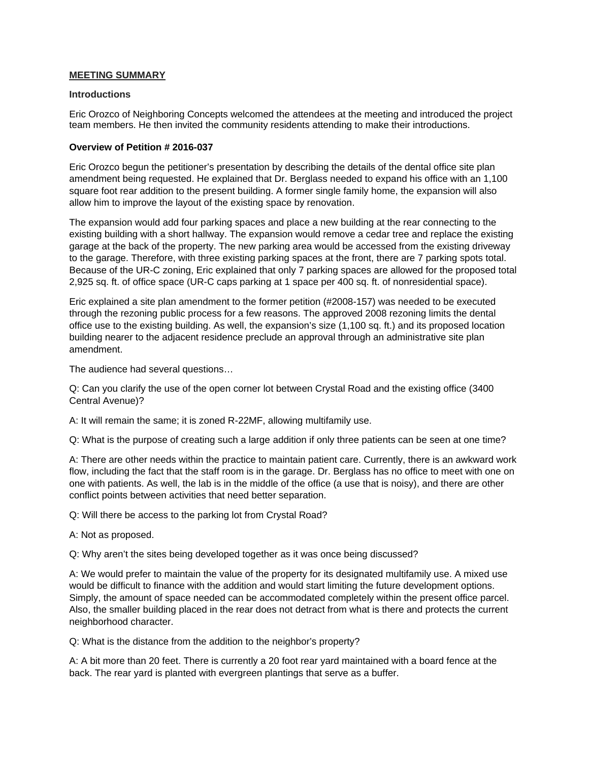#### **MEETING SUMMARY**

#### **Introductions**

Eric Orozco of Neighboring Concepts welcomed the attendees at the meeting and introduced the project team members. He then invited the community residents attending to make their introductions.

#### **Overview of Petition # 2016-037**

Eric Orozco begun the petitioner's presentation by describing the details of the dental office site plan amendment being requested. He explained that Dr. Berglass needed to expand his office with an 1,100 square foot rear addition to the present building. A former single family home, the expansion will also allow him to improve the layout of the existing space by renovation.

The expansion would add four parking spaces and place a new building at the rear connecting to the existing building with a short hallway. The expansion would remove a cedar tree and replace the existing garage at the back of the property. The new parking area would be accessed from the existing driveway to the garage. Therefore, with three existing parking spaces at the front, there are 7 parking spots total. Because of the UR-C zoning, Eric explained that only 7 parking spaces are allowed for the proposed total 2,925 sq. ft. of office space (UR-C caps parking at 1 space per 400 sq. ft. of nonresidential space).

Eric explained a site plan amendment to the former petition (#2008-157) was needed to be executed through the rezoning public process for a few reasons. The approved 2008 rezoning limits the dental office use to the existing building. As well, the expansion's size (1,100 sq. ft.) and its proposed location building nearer to the adjacent residence preclude an approval through an administrative site plan amendment.

The audience had several questions…

Q: Can you clarify the use of the open corner lot between Crystal Road and the existing office (3400 Central Avenue)?

A: It will remain the same; it is zoned R-22MF, allowing multifamily use.

Q: What is the purpose of creating such a large addition if only three patients can be seen at one time?

A: There are other needs within the practice to maintain patient care. Currently, there is an awkward work flow, including the fact that the staff room is in the garage. Dr. Berglass has no office to meet with one on one with patients. As well, the lab is in the middle of the office (a use that is noisy), and there are other conflict points between activities that need better separation.

Q: Will there be access to the parking lot from Crystal Road?

A: Not as proposed.

Q: Why aren't the sites being developed together as it was once being discussed?

A: We would prefer to maintain the value of the property for its designated multifamily use. A mixed use would be difficult to finance with the addition and would start limiting the future development options. Simply, the amount of space needed can be accommodated completely within the present office parcel. Also, the smaller building placed in the rear does not detract from what is there and protects the current neighborhood character.

Q: What is the distance from the addition to the neighbor's property?

A: A bit more than 20 feet. There is currently a 20 foot rear yard maintained with a board fence at the back. The rear yard is planted with evergreen plantings that serve as a buffer.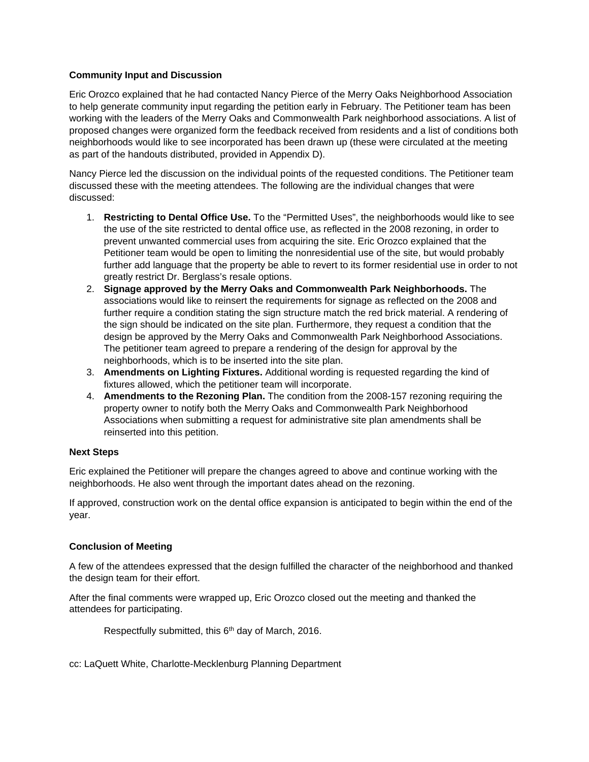## **Community Input and Discussion**

Eric Orozco explained that he had contacted Nancy Pierce of the Merry Oaks Neighborhood Association to help generate community input regarding the petition early in February. The Petitioner team has been working with the leaders of the Merry Oaks and Commonwealth Park neighborhood associations. A list of proposed changes were organized form the feedback received from residents and a list of conditions both neighborhoods would like to see incorporated has been drawn up (these were circulated at the meeting as part of the handouts distributed, provided in Appendix D).

Nancy Pierce led the discussion on the individual points of the requested conditions. The Petitioner team discussed these with the meeting attendees. The following are the individual changes that were discussed:

- 1. **Restricting to Dental Office Use.** To the "Permitted Uses", the neighborhoods would like to see the use of the site restricted to dental office use, as reflected in the 2008 rezoning, in order to prevent unwanted commercial uses from acquiring the site. Eric Orozco explained that the Petitioner team would be open to limiting the nonresidential use of the site, but would probably further add language that the property be able to revert to its former residential use in order to not greatly restrict Dr. Berglass's resale options.
- 2. **Signage approved by the Merry Oaks and Commonwealth Park Neighborhoods.** The associations would like to reinsert the requirements for signage as reflected on the 2008 and further require a condition stating the sign structure match the red brick material. A rendering of the sign should be indicated on the site plan. Furthermore, they request a condition that the design be approved by the Merry Oaks and Commonwealth Park Neighborhood Associations. The petitioner team agreed to prepare a rendering of the design for approval by the neighborhoods, which is to be inserted into the site plan.
- 3. **Amendments on Lighting Fixtures.** Additional wording is requested regarding the kind of fixtures allowed, which the petitioner team will incorporate.
- 4. **Amendments to the Rezoning Plan.** The condition from the 2008-157 rezoning requiring the property owner to notify both the Merry Oaks and Commonwealth Park Neighborhood Associations when submitting a request for administrative site plan amendments shall be reinserted into this petition.

#### **Next Steps**

Eric explained the Petitioner will prepare the changes agreed to above and continue working with the neighborhoods. He also went through the important dates ahead on the rezoning.

If approved, construction work on the dental office expansion is anticipated to begin within the end of the year.

## **Conclusion of Meeting**

A few of the attendees expressed that the design fulfilled the character of the neighborhood and thanked the design team for their effort.

After the final comments were wrapped up, Eric Orozco closed out the meeting and thanked the attendees for participating.

Respectfully submitted, this 6<sup>th</sup> day of March, 2016.

cc: LaQuett White, Charlotte-Mecklenburg Planning Department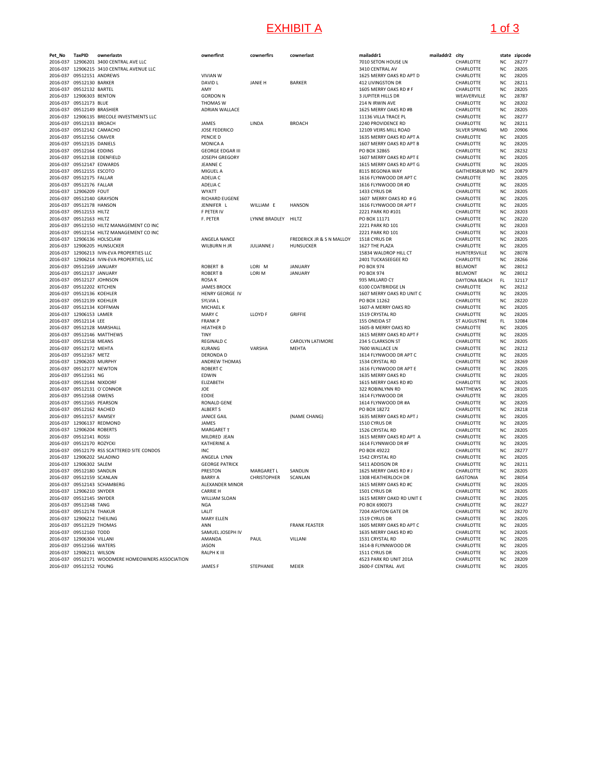## EXHIBIT A 1 of 3

| Pet_No   | TaxPID                     | ownerlastn<br>2016-037 12906201 3400 CENTRAL AVE LLC | ownerfirst              | cownerfirs        | cownerlast                | mailaddr1<br>7010 SETON HOUSE LN | mailaddr2 city | CHARLOTTE             | NC        | state zipcode<br>28277 |
|----------|----------------------------|------------------------------------------------------|-------------------------|-------------------|---------------------------|----------------------------------|----------------|-----------------------|-----------|------------------------|
|          |                            |                                                      |                         |                   |                           |                                  |                |                       |           | 28205                  |
|          |                            | 2016-037 12906215 3410 CENTRAL AVENUE LLC            |                         |                   |                           | 3410 CENTRAL AV                  |                | CHARLOTTE             | NC        |                        |
| 2016-037 | 09512151 ANDREWS           |                                                      | <b>VIVIAN W</b>         |                   |                           | 1625 MERRY OAKS RD APT D         |                | CHARLOTTE             | NC        | 28205                  |
|          | 2016-037 09512130 BARKER   |                                                      | DAVID L                 | <b>JANIE H</b>    | <b>BARKER</b>             | 412 LIVINGSTON DR                |                | CHARLOTTE             | NC        | 28211                  |
|          | 2016-037 09512132 BARTEL   |                                                      | AMY                     |                   |                           | 1605 MERRY OAKS RD # F           |                | CHARLOTTE             | <b>NC</b> | 28205                  |
|          | 2016-037 12906303 BENTON   |                                                      | <b>GORDON N</b>         |                   |                           | <b>3 JUPITER HILLS DR</b>        |                | WEAVERVILLE           | NC        | 28787                  |
|          | 2016-037 09512173 BLUE     |                                                      | THOMAS W                |                   |                           | 214 N IRWIN AVE                  |                | CHARLOTTE             | NC        | 28202                  |
|          | 2016-037 09512149 BRASHIER |                                                      | <b>ADRIAN WALLACE</b>   |                   |                           | 1625 MERRY OAKS RD #B            |                | CHARLOTTE             | NC        | 28205                  |
|          |                            | 2016-037 12906135 BRECOLE INVESTMENTS LLC            |                         |                   |                           | 11136 VILLA TRACE PL             |                | CHARLOTTE             | NC        | 28277                  |
|          | 2016-037 09512133 BROACH   |                                                      | JAMES                   | LINDA             | <b>BROACH</b>             | 2240 PROVIDENCE RD               |                | CHARLOTTE             | NC        | 28211                  |
|          | 2016-037 09512142 CAMACHO  |                                                      | <b>JOSE FEDERICO</b>    |                   |                           | 12109 VEIRS MILL ROAD            |                | SILVER SPRING         | MD        | 20906                  |
|          | 2016-037 09512156 CRAVER   |                                                      | PENCIE D                |                   |                           | 1635 MERRY OAKS RD APT A         |                | CHARLOTTE             | <b>NC</b> | 28205                  |
|          | 2016-037 09512135 DANIELS  |                                                      | <b>MONICA A</b>         |                   |                           | 1607 MERRY OAKS RD APT B         |                | CHARLOTTE             | NC        | 28205                  |
|          | 2016-037 09512164 EDDINS   |                                                      | <b>GEORGE EDGAR III</b> |                   |                           | PO BOX 32865                     |                | CHARLOTTE             | NC        | 28232                  |
|          |                            | 2016-037 09512138 EDENFIELD                          | <b>JOSEPH GREGORY</b>   |                   |                           | 1607 MERRY OAKS RD APT E         |                | CHARLOTTE             | <b>NC</b> | 28205                  |
|          | 2016-037 09512147 EDWARDS  |                                                      | <b>JEANNE C</b>         |                   |                           | 1615 MERRY OAKS RD APT G         |                | CHARLOTTE             | NC        | 28205                  |
|          | 2016-037 09512155 ESCOTO   |                                                      | MIGUEL A                |                   |                           | 8115 BEGONIA WAY                 |                | <b>GAITHERSBUR MD</b> | NC        | 20879                  |
|          | 2016-037 09512175 FALLAR   |                                                      | ADELIA C                |                   |                           | 1616 FLYNWOOD DR APT C           |                | CHARLOTTE             | <b>NC</b> | 28205                  |
|          | 2016-037 09512176 FALLAR   |                                                      | ADELIA C                |                   |                           | 1616 FLYNWOOD DR #D              |                | CHARLOTTE             | <b>NC</b> | 28205                  |
|          | 2016-037 12906209 FOUT     |                                                      | WYATT                   |                   |                           | 1433 CYRUS DR                    |                | CHARLOTTE             | NC        | 28205                  |
|          | 2016-037 09512140 GRAYSON  |                                                      | <b>RICHARD EUGENE</b>   |                   |                           | 1607 MERRY OAKS RD # G           |                | CHARLOTTE             | NC        | 28205                  |
|          | 2016-037 09512178 HANSON   |                                                      | JENNIFER L              | WILLIAM E         | <b>HANSON</b>             | 1616 FLYNWOOD DR APT F           |                | CHARLOTTE             | NC        | 28205                  |
|          | 2016-037 09512153 HILTZ    |                                                      | F PETER IV              |                   |                           | 2221 PARK RD #101                |                | CHARLOTTE             | <b>NC</b> | 28203                  |
|          | 2016-037 09512163 HILTZ    |                                                      | F. PETER                | LYNNE BRADLEY     | HILTZ                     | PO BOX 11171                     |                | CHARLOTTE             | NC        | 28220                  |
|          |                            | 2016-037 09512150 HILTZ MANAGEMENT CO INC            |                         |                   |                           | 2221 PARK RD 101                 |                | CHARLOTTE             | NC        | 28203                  |
|          |                            | 2016-037 09512154 HILTZ MANAGEMENT CO INC            |                         |                   |                           | 2221 PARK RD 101                 |                | CHARLOTTE             | <b>NC</b> | 28203                  |
|          |                            | 2016-037 12906136 HOLSCLAW                           | ANGELA NANCE            |                   | FREDERICK JR & S N MALLOY | 1518 CYRUS DR                    |                | CHARLOTTE             | NC        | 28205                  |
|          |                            | 2016-037 12906205 HUNSUCKER                          | WILBURN H JR            | <b>JULIANNE J</b> | HUNSUCKER                 | 1627 THE PLAZA                   |                | CHARLOTTE             | NC        | 28205                  |
|          |                            | 2016-037 12906213 IVIN-EVA PROPERTIES LLC            |                         |                   |                           | 15834 WALDROP HILL CT            |                | HUNTERSVILLE          | NC        | 28078                  |
|          |                            | 2016-037 12906214 IVIN-EVA PROPERTIES, LLC           |                         |                   |                           | 2401 TUCKASEEGEE RD              |                | CHARLOTTE             | <b>NC</b> | 28266                  |
|          | 2016-037 09512169 JANUARY  |                                                      | <b>ROBERT B</b>         | LORI M            | <b>JANUARY</b>            | PO BOX 974                       |                | <b>BELMONT</b>        | NC        | 28012                  |
|          | 2016-037 09512137 JANUARY  |                                                      | <b>ROBERT B</b>         | LORI M            | <b>JANUARY</b>            | PO BOX 974                       |                | <b>BELMONT</b>        | NC        | 28012                  |
|          | 2016-037 09512127 JOHNSON  |                                                      | <b>ROSAK</b>            |                   |                           | 935 MILLARD CT                   |                | DAYTONA BEACH         | FL.       | 32117                  |
|          | 2016-037 09512202 KITCHEN  |                                                      | <b>JAMES BROCK</b>      |                   |                           | 6100 COATBRIDGE LN               |                | CHARLOTTE             | <b>NC</b> | 28212                  |
|          | 2016-037 09512136 KOEHLER  |                                                      | <b>HENRY GEORGE IV</b>  |                   |                           | 1607 MERRY OAKS RD UNIT C        |                | CHARLOTTE             | NC        | 28205                  |
|          | 2016-037 09512139 KOEHLER  |                                                      | SYLVIA L                |                   |                           | PO BOX 11262                     |                | CHARLOTTE             | NC        | 28220                  |
|          | 2016-037 09512134 KOFFMAN  |                                                      | MICHAEL K               |                   |                           | 1607-A MERRY OAKS RD             |                | CHARLOTTE             | <b>NC</b> | 28205                  |
|          | 2016-037 12906153 LAMER    |                                                      | <b>MARY C</b>           | LLOYD F           | GRIFFIE                   | 1519 CRYSTAL RD                  |                | CHARLOTTE             | NC        | 28205                  |
|          | 2016-037 09512114 LEE      |                                                      | <b>FRANK P</b>          |                   |                           | 155 ONEIDA ST                    |                | <b>ST AUGUSTINE</b>   | FL        | 32084                  |
|          |                            | 2016-037 09512128 MARSHALL                           | <b>HEATHER D</b>        |                   |                           | 1605-B MERRY OAKS RD             |                | CHARLOTTE             | <b>NC</b> | 28205                  |
|          |                            | 2016-037 09512146 MATTHEWS                           | TINY                    |                   |                           | 1615 MERRY OAKS RD APT F         |                | CHARLOTTE             | NC        | 28205                  |
|          | 2016-037 09512158 MEANS    |                                                      | <b>REGINALD C</b>       |                   | CAROLYN LATIMORE          | 234 S CLARKSON ST                |                | CHARLOTTE             | NC        | 28205                  |
|          | 2016-037 09512172 MEHTA    |                                                      | KURANG                  | VARSHA            | MEHTA                     | 7600 WALLACE LN                  |                | CHARLOTTE             | NC        | 28212                  |
|          | 2016-037 09512167 METZ     |                                                      | <b>DERONDA D</b>        |                   |                           | 1614 FLYNWOOD DR APT C           |                | CHARLOTTE             | <b>NC</b> | 28205                  |
|          | 2016-037 12906203 MURPHY   |                                                      | <b>ANDREW THOMAS</b>    |                   |                           | 1534 CRYSTAL RD                  |                | CHARLOTTE             | NC        | 28269                  |
|          | 2016-037 09512177 NEWTON   |                                                      | <b>ROBERT C</b>         |                   |                           | 1616 FLYNWOOD DR APT E           |                | CHARLOTTE             | NC        | 28205                  |
|          | 2016-037 09512161 NG       |                                                      | EDWIN                   |                   |                           | 1635 MERRY OAKS RD               |                | CHARLOTTE             | NC        | 28205                  |
|          | 2016-037 09512144 NIXDORF  |                                                      | ELIZABETH               |                   |                           | 1615 MERRY OAKS RD #D            |                | CHARLOTTE             | <b>NC</b> | 28205                  |
|          |                            | 2016-037 09512131 O'CONNOR                           | JOE                     |                   |                           | 322 ROBINLYNN RD                 |                | <b>MATTHEWS</b>       | NC        | 28105                  |
|          | 2016-037 09512168 OWENS    |                                                      | EDDIE                   |                   |                           | 1614 FLYNWOOD DR                 |                | CHARLOTTE             | NC        | 28205                  |
|          | 2016-037 09512165 PEARSON  |                                                      | <b>RONALD GENE</b>      |                   |                           | 1614 FLYNWOOD DR #A              |                | CHARLOTTE             | <b>NC</b> | 28205                  |
|          | 2016-037 09512162 RACHED   |                                                      | <b>ALBERT S</b>         |                   |                           | PO BOX 18272                     |                | CHARLOTTE             | NC        | 28218                  |
|          | 2016-037 09512157 RAMSEY   |                                                      | <b>JANICE GAIL</b>      |                   | (NAME CHANG)              | 1635 MERRY OAKS RD APT J         |                | CHARLOTTE             | NC        | 28205                  |
|          | 2016-037 12906137 REDMOND  |                                                      | JAMES                   |                   |                           | 1510 CYRUS DR                    |                | CHARLOTTE             | NC        | 28205                  |
|          | 2016-037 12906204 ROBERTS  |                                                      | <b>MARGARET T</b>       |                   |                           | 1526 CRYSTAL RD                  |                | CHARLOTTE             | <b>NC</b> | 28205                  |
|          | 2016-037 09512141 ROSSI    |                                                      | MILDRED JEAN            |                   |                           | 1615 MERRY OAKS RD APT A         |                | CHARLOTTE             | NC        | 28205                  |
|          | 2016-037 09512170 ROZYCKI  |                                                      | <b>KATHERINE A</b>      |                   |                           | 1614 FLYNNWOD DR #F              |                | CHARLOTTE             | NC        | 28205                  |
|          |                            | 2016-037 09512179 RSS SCATTERED SITE CONDOS          | <b>INC</b>              |                   |                           | PO BOX 49222                     |                | CHARLOTTE             | NC        | 28277                  |
|          | 2016-037 12906202 SALADINO |                                                      | ANGELA LYNN             |                   |                           | 1542 CRYSTAL RD                  |                | CHARLOTTE             | NC        | 28205                  |
|          | 2016-037 12906302 SALEM    |                                                      | <b>GEORGE PATRICK</b>   |                   |                           | 5411 ADDISON DR                  |                | CHARLOTTE             | NC        | 28211                  |
|          | 2016-037 09512180 SANDLIN  |                                                      | PRESTON                 | MARGARET L        | SANDLIN                   | 1625 MERRY OAKS RD # J           |                | CHARLOTTE             | NC        | 28205                  |
|          | 2016-037 09512159 SCANLAN  |                                                      | <b>BARRY A</b>          | CHRISTOPHER       | SCANLAN                   | 1308 HEATHERLOCH DR              |                | GASTONIA              | <b>NC</b> | 28054                  |
|          |                            | 2016-037 09512143 SCHAMBERG                          | <b>ALEXANDER MINOR</b>  |                   |                           | 1615 MERRY OAKS RD #C            |                | CHARLOTTE             | NC        | 28205                  |
|          | 2016-037 12906210 SNYDER   |                                                      | <b>CARRIE H</b>         |                   |                           | 1501 CYRUS DR                    |                | CHARLOTTE             | NC        | 28205                  |
|          | 2016-037 09512145 SNYDER   |                                                      | WILLIAM SLOAN           |                   |                           | 1615 MERRY OAKD RD UNIT E        |                | CHARLOTTE             | <b>NC</b> | 28205                  |
|          | 2016-037 09512148 TANG     |                                                      | <b>NGA</b>              |                   |                           | PO BOX 690073                    |                | CHARLOTTE             | NC        | 28227                  |
|          | 2016-037 09512174 THAKUR   |                                                      | LALIT                   |                   |                           | 7204 ASHTON GATE DR              |                | CHARLOTTE             | NC        | 28270                  |
|          | 2016-037 12906212 THEILING |                                                      | <b>MARY ELLEN</b>       |                   |                           | 1519 CYRUS DR                    |                | CHARLOTTE             | NC        | 28205                  |
|          | 2016-037 09512129 THOMAS   |                                                      | ANN                     |                   | <b>FRANK FEASTER</b>      | 1605 MERRY OAKS RD APT C         |                | CHARLOTTE             | NC        | 28205                  |
|          | 2016-037 09512160 TODD     |                                                      | SAMUEL JOSEPH IV        |                   |                           | 1635 MERRY OAKS RD #D            |                | CHARLOTTE             | NC        | 28205                  |
|          | 2016-037 12906304 VILLANI  |                                                      | AMANDA                  | PAUL              | VILLANI                   | 1531 CRYSTAL RD                  |                | CHARLOTTE             | NC        | 28205                  |
|          | 2016-037 09512166 WATERS   |                                                      | JASON                   |                   |                           | 1614-B FLYNNWOOD DR              |                | CHARLOTTE             | NC        | 28205                  |
|          | 2016-037 12906211 WILSON   |                                                      | RALPH K III             |                   |                           | 1511 CYRUS DR                    |                | CHARLOTTE             | <b>NC</b> | 28205                  |
|          |                            | 2016-037 09512171 WOODMERE HOMEOWNERS ASSOCIATION    |                         |                   |                           | 4523 PARK RD UNIT 201A           |                | CHARLOTTE             | NC        | 28209                  |
|          | 2016-037 09512152 YOUNG    |                                                      | JAMES F                 | STEPHANIE         | MEIER                     | 2600-F CENTRAL AVE               |                | CHARLOTTE             | NC        | 28205                  |

| vnerfirst                      | cownerfirs          | cownerlast                |
|--------------------------------|---------------------|---------------------------|
| VIAN W                         |                     |                           |
| VID L                          | <b>JANIE H</b>      | <b>BARKER</b>             |
| ٨Y                             |                     |                           |
| <b>DRDON N</b>                 |                     |                           |
| <b>IOMAS W</b><br>RIAN WALLACE |                     |                           |
| MES                            | LINDA               | <b>BROACH</b>             |
| SE FEDERICO<br>NCIE D          |                     |                           |
| ONICA A                        |                     |                           |
| ORGE EDGAR III                 |                     |                           |
| SEPH GREGORY                   |                     |                           |
| ANNE C<br><b>IGUEL A</b>       |                     |                           |
| ELIA C                         |                     |                           |
| <b>ELIAC</b>                   |                     |                           |
| YATT<br>CHARD EUGENE           |                     |                           |
| NNIFER L                       | WILLIAM E HANSON    |                           |
| <b>ETER IV</b>                 |                     |                           |
| PETER                          | LYNNE BRADLEY HILTZ |                           |
| <b>IGELA NANCE</b>             |                     | FREDERICK JR & S N MALLOY |
| <b>ILBURN HJR</b>              | JULIANNE J          | HUNSUCKER                 |
| <b>BERT B</b>                  | LORI M              | <b>JANUARY</b>            |
| <b>BERT B</b>                  | LORI M              | <b>JANUARY</b>            |
| <b>SAK</b><br><b>MES BROCK</b> |                     |                           |
| NRY GEORGE IV                  |                     |                           |
| LVIA L                         |                     |                           |
| ICHAEL K<br>ARY C              | LLOYD F             | GRIFFIE                   |
| ANK P                          |                     |                           |
| ATHER D<br>٧Y                  |                     |                           |
| <b>GINALD C</b>                |                     | CAROLYN LATIMORE          |
| RANG<br>RONDA D                | VARSHA              | MEHTA                     |
| <b>IDREW THOMAS</b>            |                     |                           |
| <b>BERT C</b>                  |                     |                           |
| WIN<br><b>IZABETH</b>          |                     |                           |
| E                              |                     |                           |
| DIE<br><b>NALD GENE</b>        |                     |                           |
| BERT S                         |                     |                           |
| NICE GAIL                      |                     | (NAME CHANG)              |
| MES<br><b>ARGARET T</b>        |                     |                           |
| <b>ILDRED JEAN</b>             |                     |                           |
| THERINE A                      |                     |                           |
| Ċ<br><b>IGELA LYNN</b>         |                     |                           |
| <b>ORGE PATRICK</b>            |                     |                           |
| <b>ESTON</b>                   | <b>MARGARET L</b>   | SANDLIN                   |
| <b>RRY A</b><br>EXANDER MINOR  | <b>CHRISTOPHER</b>  | SCANLAN                   |
| RRIE H                         |                     |                           |
| <b>ILLIAM SLOAN</b><br>àй      |                     |                           |
| LIT                            |                     |                           |
| ARY ELLEN                      |                     |                           |
| JΝ<br>MUEL JOSEPH IV           |                     | <b>FRANK FEASTER</b>      |
| <b>AONAN</b>                   | PALIL               | <b>VILLANI</b>            |

| aaari                    | mailaddr2 city |                              |
|--------------------------|----------------|------------------------------|
| <b>SETON HOUSE LN</b>    |                | CHARLOTTE                    |
| CENTRAL AV               |                | CHARLOTTE                    |
| MERRY OAKS RD APT D      |                | CHARLOTTE                    |
| LIVINGSTON DR            |                | CHARLOTTE                    |
| MERRY OAKS RD # F        |                | CHARLOTTE                    |
| PITER HILLS DR           |                | WEAVERVILLE                  |
| N IRWIN AVE              |                | CHARLOTTE                    |
| MERRY OAKS RD #B         |                | CHARLOTTE                    |
| <b>6 VILLA TRACE PL</b>  |                | CHARLOTTE                    |
| ) PROVIDENCE RD          |                | CHARLOTTE                    |
| 9 VEIRS MILL ROAD        |                | SILVER SPRING                |
| MERRY OAKS RD APT A      |                | CHARLOTTE                    |
| MERRY OAKS RD APT B      |                | CHARLOTTE                    |
| OX 32865                 |                | CHARLOTTE                    |
| MERRY OAKS RD APT E      |                | CHARLOTTE                    |
| MERRY OAKS RD APT G      |                | CHARLOTTE                    |
| <b>BEGONIA WAY</b>       |                | <b>GAITHERSBUR MD</b>        |
| FLYNWOOD DR APT C        |                | CHARLOTTE                    |
| FLYNWOOD DR #D           |                | CHARLOTTE                    |
| <b>CYRUS DR</b>          |                | CHARLOTTE                    |
| MERRY OAKS RD # G        |                | CHARLOTTE                    |
| FLYNWOOD DR APT F        |                | CHARLOTTE                    |
| PARK RD #101             |                | CHARLOTTE                    |
| OX 11171                 |                | CHARLOTTE                    |
| PARK RD 101              |                | CHARLOTTE                    |
| PARK RD 101              |                | CHARLOTTE                    |
| <b>CYRUS DR</b>          |                | CHARLOTTE                    |
|                          |                |                              |
| THE PLAZA                |                | CHARLOTTE                    |
| 4 WALDROP HILL CT        |                | HUNTERSVILLE                 |
| TUCKASEEGEE RD           |                | CHARLOTTE                    |
| OX 974                   |                | <b>BELMONT</b>               |
| OX 974                   |                | <b>BELMONT</b>               |
| MILLARD CT               |                | DAYTONA BEACH                |
| COATBRIDGE LN            |                | CHARLOTTE                    |
| MERRY OAKS RD UNIT C     |                | CHARLOTTE                    |
| OX 11262                 |                | <b>CHARLOTTF</b>             |
| -A MERRY OAKS RD         |                | CHARLOTTE                    |
| CRYSTAL RD               |                | CHARLOTTE                    |
| ONEIDA ST                |                | <b>ST AUGUSTINE</b>          |
| -B MERRY OAKS RD         |                | CHARLOTTE                    |
| MERRY OAKS RD APT F      |                | CHARLOTTE                    |
| S CLARKSON ST            |                | CHARLOTTE                    |
| WALLACE LN               |                | CHARLOTTE                    |
| FLYNWOOD DR APT C        |                | CHARLOTTE                    |
| <b>CRYSTAL RD</b>        |                | CHARLOTTE                    |
| FLYNWOOD DR APT E        |                | CHARLOTTE                    |
| <b>MERRY OAKS RD</b>     |                | CHARLOTTE                    |
| MERRY OAKS RD #D         |                | CHARLOTTE                    |
| ROBINLYNN RD             |                | <b>MATTHEWS</b>              |
| I FLYNWOOD DR            |                | CHARLOTTE                    |
| FLYNWOOD DR #A           |                | CHARLOTTE                    |
| OX 18272                 |                | CHARLOTTE                    |
| MERRY OAKS RD APT J      |                | CHARLOTTE                    |
| CYRUS DR                 |                | CHARLOTTE                    |
| <b>CRYSTAL RD</b>        |                | CHARLOTTE                    |
| MERRY OAKS RD APT A      |                | CHARLOTTE                    |
| FLYNNWOD DR #F           |                | CHARLOTTE                    |
| OX 49222                 |                | CHARLOTTE                    |
| ! CRYSTAL RD             |                | CHARLOTTE                    |
| <b>ADDISON DR</b>        |                | CHARLOTTE                    |
| MERRY OAKS RD # J        |                |                              |
| HEATHERLOCH DR           |                | CHARLOTTE<br><b>GASTONIA</b> |
|                          |                |                              |
| MERRY OAKS RD #C         |                | CHARLOTTE                    |
| CYRUS DR                 |                | CHARLOTTE                    |
| MERRY OAKD RD UNIT E     |                | CHARLOTTE                    |
| OX 690073                |                | CHARLOTTE                    |
| <b>ASHTON GATE DR</b>    |                | CHARLOTTE                    |
| CYRUS DR                 |                | CHARLOTTE                    |
| MERRY OAKS RD APT C      |                | CHARLOTTE                    |
| MERRY OAKS RD #D         |                | CHARLOTTE                    |
| L CRYSTAL RD             |                | CHARLOTTE                    |
| I-B FLYNNWOOD DR         |                | CHARLOTTE                    |
| CYRUS DR                 |                | CHARLOTTE                    |
| <b>PARK RD UNIT 201A</b> |                | CHARLOTTE                    |
| -F CENTRAL AVE           |                | CHARLOTTE                    |
|                          |                |                              |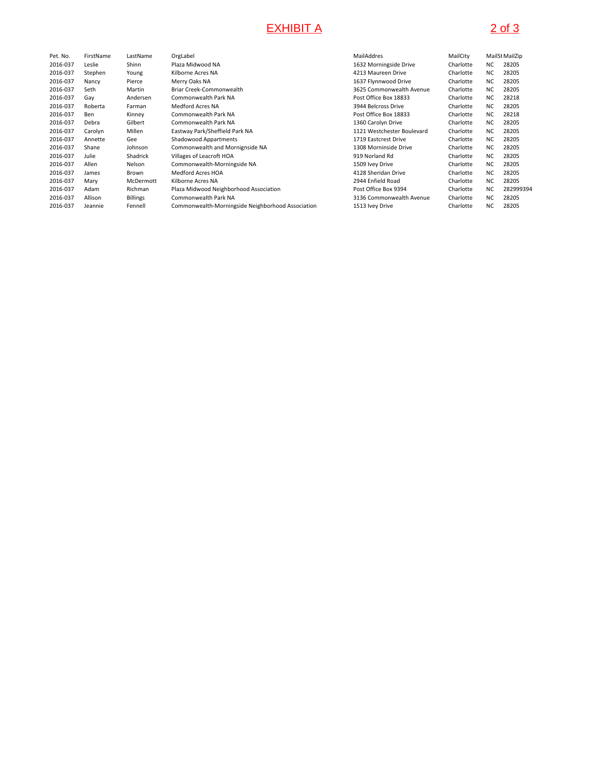# EXHIBIT A 2 of 3

| Pet. No. | FirstName | LastName        | OrgLabel                                          | MailAddres                 | MailCity  |           | MailSt MailZip |
|----------|-----------|-----------------|---------------------------------------------------|----------------------------|-----------|-----------|----------------|
| 2016-037 | Leslie    | Shinn           | Plaza Midwood NA                                  | 1632 Morningside Drive     | Charlotte | NC.       | 28205          |
| 2016-037 | Stephen   | Young           | Kilborne Acres NA                                 | 4213 Maureen Drive         | Charlotte | NC.       | 28205          |
| 2016-037 | Nancy     | Pierce          | Merry Oaks NA                                     | 1637 Flynnwood Drive       | Charlotte | NC.       | 28205          |
| 2016-037 | Seth      | Martin          | Briar Creek-Commonwealth                          | 3625 Commonwealth Avenue   | Charlotte | NC.       | 28205          |
| 2016-037 | Gay       | Andersen        | Commonwealth Park NA                              | Post Office Box 18833      | Charlotte | NC.       | 28218          |
| 2016-037 | Roberta   | Farman          | Medford Acres NA                                  | 3944 Belcross Drive        | Charlotte | <b>NC</b> | 28205          |
| 2016-037 | Ben       | Kinney          | Commonwealth Park NA                              | Post Office Box 18833      | Charlotte | NC.       | 28218          |
| 2016-037 | Debra     | Gilbert         | Commonwealth Park NA                              | 1360 Carolyn Drive         | Charlotte | NC.       | 28205          |
| 2016-037 | Carolyn   | Millen          | Eastway Park/Sheffield Park NA                    | 1121 Westchester Boulevard | Charlotte | NC.       | 28205          |
| 2016-037 | Annette   | Gee             | Shadowood Appartments                             | 1719 Eastcrest Drive       | Charlotte | NC.       | 28205          |
| 2016-037 | Shane     | Johnson         | Commonwealth and Mornignside NA                   | 1308 Morninside Drive      | Charlotte | NC.       | 28205          |
| 2016-037 | Julie     | Shadrick        | Villages of Leacroft HOA                          | 919 Norland Rd             | Charlotte | NC.       | 28205          |
| 2016-037 | Allen     | Nelson          | Commonwealth-Morningside NA                       | 1509 Ivey Drive            | Charlotte | NC.       | 28205          |
| 2016-037 | James     | Brown           | Medford Acres HOA                                 | 4128 Sheridan Drive        | Charlotte | NC.       | 28205          |
| 2016-037 | Mary      | McDermott       | Kilborne Acres NA                                 | 2944 Enfield Road          | Charlotte | NC.       | 28205          |
| 2016-037 | Adam      | Richman         | Plaza Midwood Neighborhood Association            | Post Office Box 9394       | Charlotte | <b>NC</b> | 282999394      |
| 2016-037 | Allison   | <b>Billings</b> | Commonwealth Park NA                              | 3136 Commonwealth Avenue   | Charlotte | NC.       | 28205          |
| 2016-037 | Jeannie   | Fennell         | Commonwealth-Morningside Neighborhood Association | 1513 Ivey Drive            | Charlotte | NC.       | 28205          |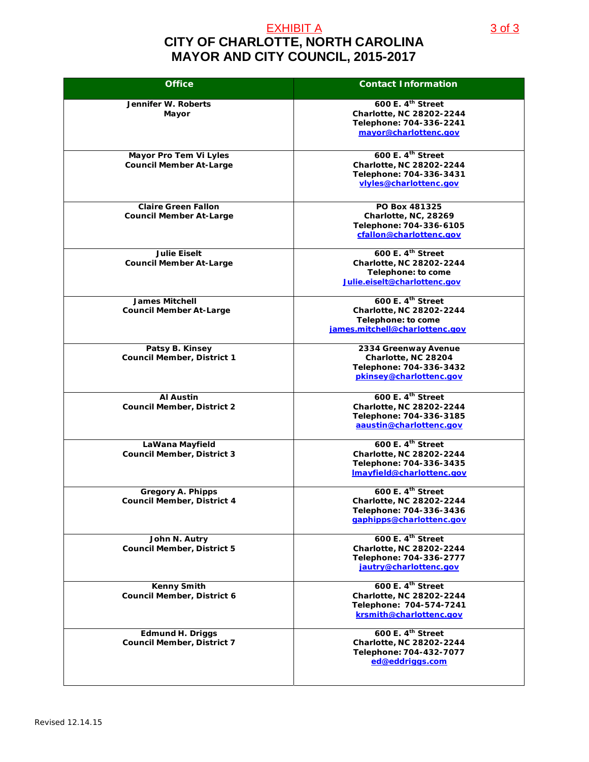## **CITY OF CHARLOTTE, NORTH CAROLINA MAYOR AND CITY COUNCIL, 2015-2017** EXHIBIT A 3 of 3

| <b>Office</b>                                                 | <b>Contact Information</b>                                                                                           |
|---------------------------------------------------------------|----------------------------------------------------------------------------------------------------------------------|
| Jennifer W. Roberts<br>Mayor                                  | 600 E. 4 <sup>th</sup> Street<br><b>Charlotte, NC 28202-2244</b><br>Telephone: 704-336-2241<br>mayor@charlottenc.gov |
| Mayor Pro Tem Vi Lyles<br><b>Council Member At-Large</b>      | 600 E. 4 <sup>th</sup> Street<br>Charlotte, NC 28202-2244<br>Telephone: 704-336-3431<br>viyles@charlottenc.gov       |
| <b>Claire Green Fallon</b><br><b>Council Member At-Large</b>  | PO Box 481325<br>Charlotte, NC, 28269<br>Telephone: 704-336-6105<br>cfallon@charlottenc.gov                          |
| <b>Julie Eiselt</b><br><b>Council Member At-Large</b>         | 600 E. 4th Street<br>Charlotte, NC 28202-2244<br>Telephone: to come<br>Julie.eiselt@charlottenc.gov                  |
| <b>James Mitchell</b><br><b>Council Member At-Large</b>       | 600 E. 4th Street<br>Charlotte, NC 28202-2244<br>Telephone: to come<br>james.mitchell@charlottenc.gov                |
| Patsy B. Kinsey<br><b>Council Member, District 1</b>          | 2334 Greenway Avenue<br>Charlotte, NC 28204<br>Telephone: 704-336-3432<br>pkinsey@charlottenc.gov                    |
| <b>Al Austin</b><br><b>Council Member, District 2</b>         | 600 E. 4 <sup>th</sup> Street<br>Charlotte, NC 28202-2244<br>Telephone: 704-336-3185<br>aaustin@charlottenc.gov      |
| LaWana Mayfield<br><b>Council Member, District 3</b>          | 600 E. 4 <sup>th</sup> Street<br>Charlotte, NC 28202-2244<br>Telephone: 704-336-3435<br>Imayfield@charlottenc.gov    |
| <b>Gregory A. Phipps</b><br><b>Council Member, District 4</b> | 600 E. 4th Street<br>Charlotte, NC 28202-2244<br>Telephone: 704-336-3436<br>gaphipps@charlottenc.gov                 |
| John N. Autry<br><b>Council Member, District 5</b>            | 600 E. 4th Street<br>Charlotte, NC 28202-2244<br>Telephone: 704-336-2777<br>jautry@charlottenc.gov                   |
| <b>Kenny Smith</b><br>Council Member, District 6              | 600 E. 4th Street<br>Charlotte, NC 28202-2244<br>Telephone: 704-574-7241<br>krsmith@charlottenc.gov                  |
| <b>Edmund H. Driggs</b><br><b>Council Member, District 7</b>  | 600 E. 4 <sup>th</sup> Street<br>Charlotte, NC 28202-2244<br>Telephone: 704-432-7077<br>ed@eddriggs.com              |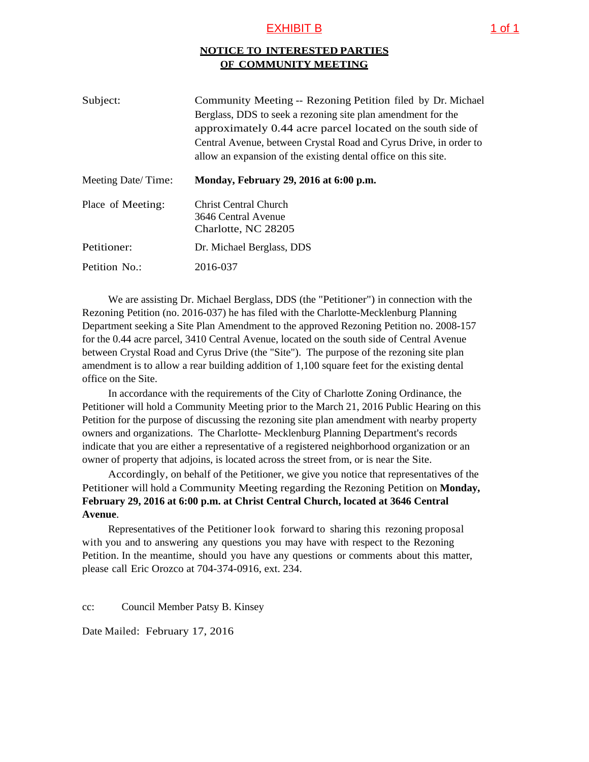## EXHIBIT B 1 of 1

## **NOTICE TO INTERESTED PARTIES OF COMMUNITY MEETING**

| Subject:           | Community Meeting -- Rezoning Petition filed by Dr. Michael<br>Berglass, DDS to seek a rezoning site plan amendment for the<br>approximately 0.44 acre parcel located on the south side of<br>Central Avenue, between Crystal Road and Cyrus Drive, in order to<br>allow an expansion of the existing dental office on this site. |
|--------------------|-----------------------------------------------------------------------------------------------------------------------------------------------------------------------------------------------------------------------------------------------------------------------------------------------------------------------------------|
| Meeting Date/Time: | Monday, February 29, 2016 at 6:00 p.m.                                                                                                                                                                                                                                                                                            |
| Place of Meeting:  | <b>Christ Central Church</b><br>3646 Central Avenue<br>Charlotte, NC 28205                                                                                                                                                                                                                                                        |
| Petitioner:        | Dr. Michael Berglass, DDS                                                                                                                                                                                                                                                                                                         |
| Petition No.:      | 2016-037                                                                                                                                                                                                                                                                                                                          |

We are assisting Dr. Michael Berglass, DDS (the "Petitioner") in connection with the Rezoning Petition (no. 2016-037) he has filed with the Charlotte-Mecklenburg Planning Department seeking a Site Plan Amendment to the approved Rezoning Petition no. 2008-157 for the 0.44 acre parcel, 3410 Central Avenue, located on the south side of Central Avenue between Crystal Road and Cyrus Drive (the "Site"). The purpose of the rezoning site plan amendment is to allow a rear building addition of 1,100 square feet for the existing dental office on the Site.

In accordance with the requirements of the City of Charlotte Zoning Ordinance, the Petitioner will hold a Community Meeting prior to the March 21, 2016 Public Hearing on this Petition for the purpose of discussing the rezoning site plan amendment with nearby property owners and organizations. The Charlotte- Mecklenburg Planning Department's records indicate that you are either a representative of a registered neighborhood organization or an owner of property that adjoins, is located across the street from, or is near the Site.

Accordingly, on behalf of the Petitioner, we give you notice that representatives of the Petitioner will hold a Community Meeting regarding the Rezoning Petition on **Monday, February 29, 2016 at 6:00 p.m. at Christ Central Church, located at 3646 Central Avenue**.

Representatives of the Petitioner look forward to sharing this rezoning proposal with you and to answering any questions you may have with respect to the Rezoning Petition. In the meantime, should you have any questions or comments about this matter, please call Eric Orozco at 704-374-0916, ext. 234.

cc: Council Member Patsy B. Kinsey

Date Mailed: February 17, 2016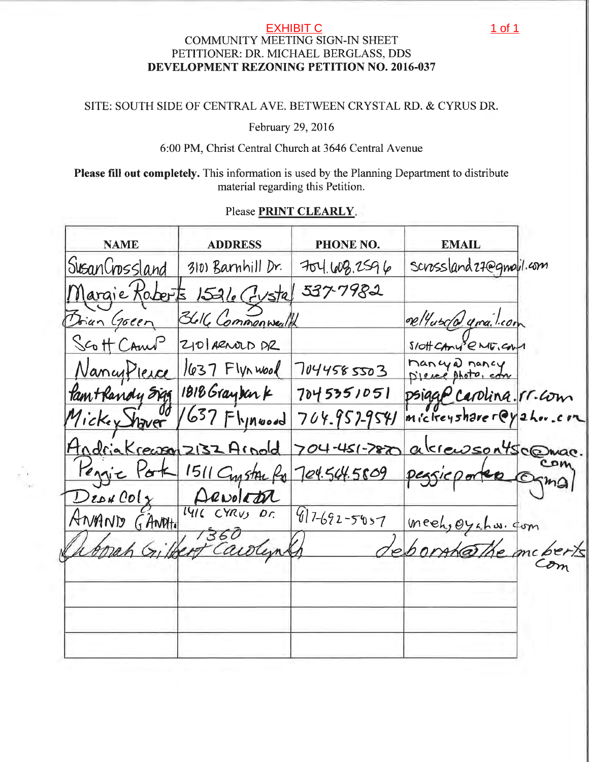# EXHIBIT C<br>COMMUNITY MEETING SIGN-IN SHEET PETITIONER: DR. MICHAEL BERGLASS, DDS DEVELOPMENT REZONING PETITION NO. 2016-037

## SITE: SOUTH SIDE OF CENTRAL AVE, BETWEEN CRYSTAL RD. & CYRUS DR.

February 29, 2016

## 6:00 PM, Christ Central Church at 3646 Central Avenue

Please fill out completely. This information is used by the Planning Department to distribute material regarding this Petition.

## Please PRINT CLEARLY.

| <b>NAME</b>              | <b>ADDRESS</b>            | <b>PHONE NO.</b> | <b>EMAIL</b>              |      |
|--------------------------|---------------------------|------------------|---------------------------|------|
| SusanCrossland           | 310) Barnhill Dr.         | 704.608.2596     | Scrossland 27@gmail.com   |      |
| Jargie Koberts           | $1526$ Cystal             | 537-7982         |                           |      |
| Doian Goeen              | Bleke Commonwealth        |                  | Del'asco quailcom         |      |
| Scott CAnul              | 210 ARNOLD PR             |                  | Slott CAMY & ME, CAM      |      |
|                          | NancyPierce 1637 Flynwood | 7044585503       | Mancyal nancy             |      |
| Pam+Randy Sigg           | $1818$ Gray bar k         | 7045351051       | psigge carolina. IT. com  |      |
| Mickey haver             | $1637$ Fhinesd            | 704.957-9541     | $m$ ic treyshare $rQy$ 2h |      |
| Hodriakreason 2132 Arold |                           | 704-451-7870     | alerensontscomac.         |      |
| <u>Pengic Por</u>        | 1511 Cypston Ro           | 704.564.5809     | perficporter              | Ogma |
|                          | ANAND GANNHO LYRUS DC     |                  |                           |      |
|                          |                           | $917-692-5057$   | meeh, Oyahw. com          |      |
|                          |                           |                  | the mc berts              |      |
|                          |                           |                  |                           |      |
|                          |                           |                  |                           |      |
|                          |                           |                  |                           |      |
|                          |                           |                  |                           |      |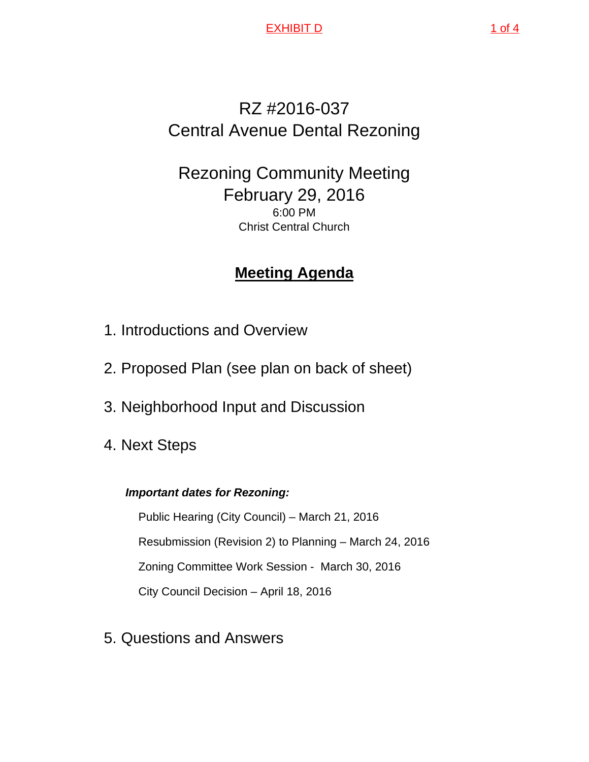EXHIBIT D 1 of 4

# RZ #2016-037 Central Avenue Dental Rezoning

# Rezoning Community Meeting February 29, 2016 6:00 PM Christ Central Church

# **Meeting Agenda**

- 1. Introductions and Overview
- 2. Proposed Plan (see plan on back of sheet)
- 3. Neighborhood Input and Discussion
- 4. Next Steps

# *Important dates for Rezoning:*

Public Hearing (City Council) – March 21, 2016 Resubmission (Revision 2) to Planning – March 24, 2016 Zoning Committee Work Session - March 30, 2016 City Council Decision – April 18, 2016

5. Questions and Answers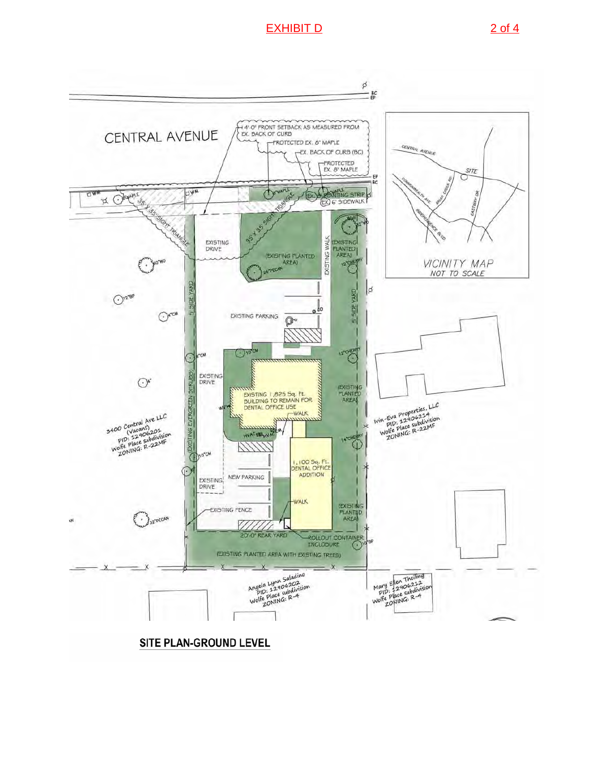## EXHIBIT D 2 of 4



## SITE PLAN-GROUND LEVEL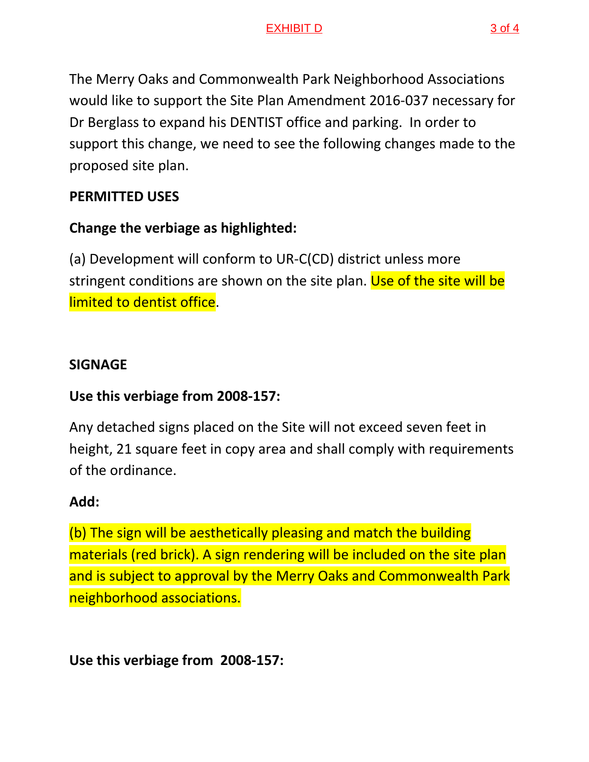## EXHIBIT D 3 of 4

The Merry Oaks and Commonwealth Park Neighborhood Associations would like to support the Site Plan Amendment 2016‐037 necessary for Dr Berglass to expand his DENTIST office and parking. In order to support this change, we need to see the following changes made to the proposed site plan.

# **PERMITTED USES**

# **Change the verbiage as highlighted:**

(a) Development will conform to UR‐C(CD) district unless more stringent conditions are shown on the site plan. Use of the site will be limited to dentist office.

# **SIGNAGE**

# **Use this verbiage from 2008‐157:**

Any detached signs placed on the Site will not exceed seven feet in height, 21 square feet in copy area and shall comply with requirements of the ordinance.

# **Add:**

(b) The sign will be aesthetically pleasing and match the building materials (red brick). A sign rendering will be included on the site plan and is subject to approval by the Merry Oaks and Commonwealth Park neighborhood associations.

**Use this verbiage from 2008‐157:**